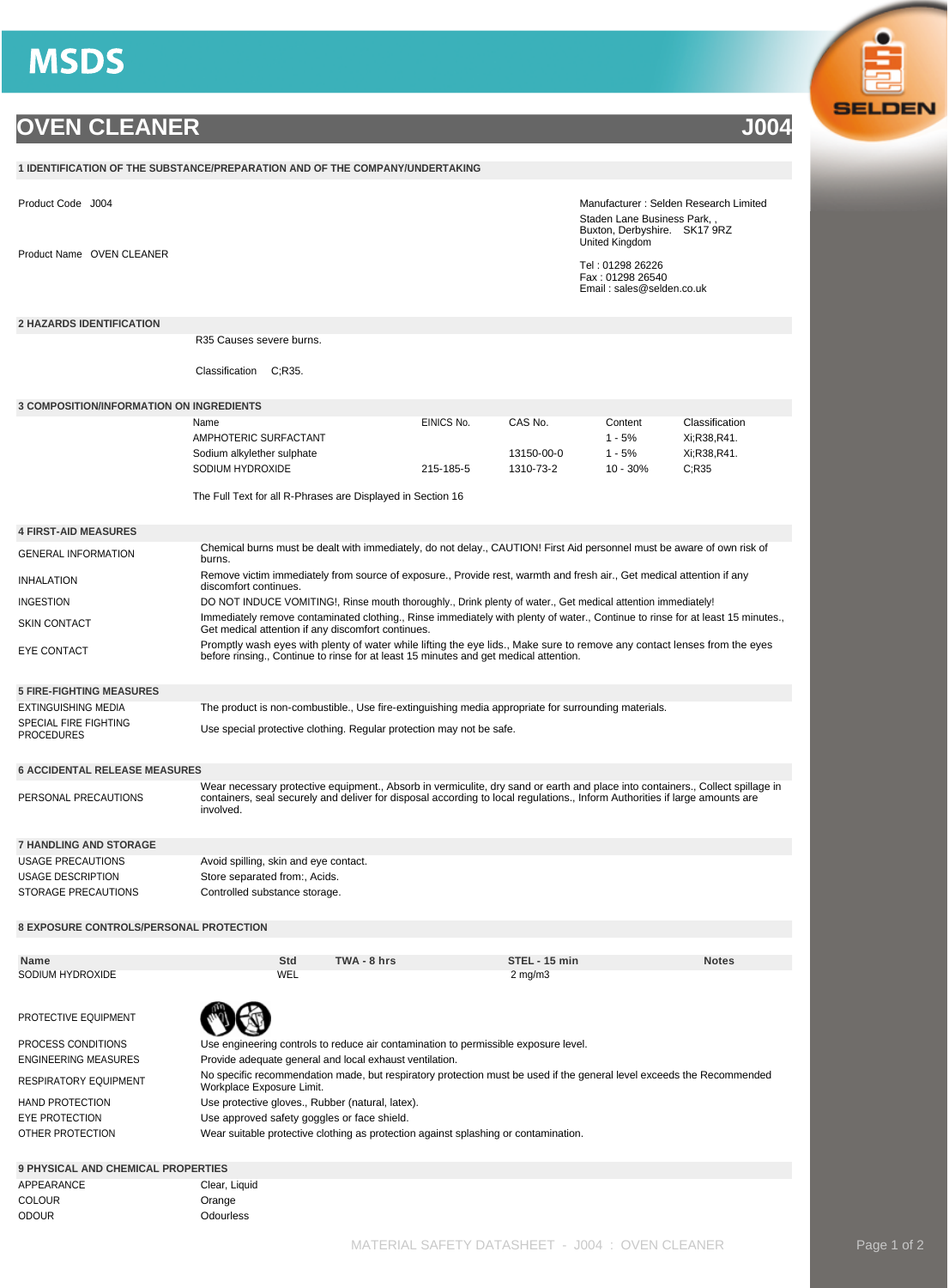## **MSDS**

## **OVEN CLEANER J004**

|                                                                                                                                                                 | 1 IDENTIFICATION OF THE SUBSTANCE/PREPARATION AND OF THE COMPANY/UNDERTAKING                                                                                                                                                                                                                                       |                                                                                                                       |                            |  |             |            |  |                                                                                     |  |                                                                   |                |  |
|-----------------------------------------------------------------------------------------------------------------------------------------------------------------|--------------------------------------------------------------------------------------------------------------------------------------------------------------------------------------------------------------------------------------------------------------------------------------------------------------------|-----------------------------------------------------------------------------------------------------------------------|----------------------------|--|-------------|------------|--|-------------------------------------------------------------------------------------|--|-------------------------------------------------------------------|----------------|--|
|                                                                                                                                                                 | Manufacturer: Selden Research Limited<br>Product Code J004<br>Staden Lane Business Park, ,<br>Buxton, Derbyshire. SK17 9RZ<br>United Kingdom                                                                                                                                                                       |                                                                                                                       |                            |  |             |            |  |                                                                                     |  |                                                                   |                |  |
|                                                                                                                                                                 | Product Name OVEN CLEANER                                                                                                                                                                                                                                                                                          |                                                                                                                       |                            |  |             |            |  |                                                                                     |  | Tel: 01298 26226<br>Fax: 01298 26540<br>Email: sales@selden.co.uk |                |  |
| <b>2 HAZARDS IDENTIFICATION</b>                                                                                                                                 |                                                                                                                                                                                                                                                                                                                    |                                                                                                                       |                            |  |             |            |  |                                                                                     |  |                                                                   |                |  |
|                                                                                                                                                                 |                                                                                                                                                                                                                                                                                                                    | R <sub>35</sub> Causes severe burns.                                                                                  | C:R35.                     |  |             |            |  |                                                                                     |  |                                                                   |                |  |
|                                                                                                                                                                 |                                                                                                                                                                                                                                                                                                                    | Classification                                                                                                        |                            |  |             |            |  |                                                                                     |  |                                                                   |                |  |
| <b>3 COMPOSITION/INFORMATION ON INGREDIENTS</b>                                                                                                                 |                                                                                                                                                                                                                                                                                                                    |                                                                                                                       |                            |  |             |            |  |                                                                                     |  |                                                                   |                |  |
|                                                                                                                                                                 |                                                                                                                                                                                                                                                                                                                    | Name                                                                                                                  |                            |  |             | EINICS No. |  | CAS No.                                                                             |  | Content                                                           | Classification |  |
|                                                                                                                                                                 |                                                                                                                                                                                                                                                                                                                    | AMPHOTERIC SURFACTANT                                                                                                 |                            |  |             |            |  |                                                                                     |  | $1 - 5%$                                                          | Xi;R38,R41.    |  |
|                                                                                                                                                                 |                                                                                                                                                                                                                                                                                                                    |                                                                                                                       | Sodium alkylether sulphate |  |             |            |  | 13150-00-0                                                                          |  | $1 - 5%$                                                          | Xi;R38,R41.    |  |
|                                                                                                                                                                 |                                                                                                                                                                                                                                                                                                                    | SODIUM HYDROXIDE                                                                                                      |                            |  |             | 215-185-5  |  | 1310-73-2                                                                           |  | $10 - 30%$                                                        | C:R35          |  |
|                                                                                                                                                                 |                                                                                                                                                                                                                                                                                                                    | The Full Text for all R-Phrases are Displayed in Section 16                                                           |                            |  |             |            |  |                                                                                     |  |                                                                   |                |  |
| <b>4 FIRST-AID MEASURES</b>                                                                                                                                     |                                                                                                                                                                                                                                                                                                                    |                                                                                                                       |                            |  |             |            |  |                                                                                     |  |                                                                   |                |  |
| Chemical burns must be dealt with immediately, do not delay., CAUTION! First Aid personnel must be aware of own risk of<br><b>GENERAL INFORMATION</b><br>burns. |                                                                                                                                                                                                                                                                                                                    |                                                                                                                       |                            |  |             |            |  |                                                                                     |  |                                                                   |                |  |
| <b>INHALATION</b>                                                                                                                                               |                                                                                                                                                                                                                                                                                                                    | Remove victim immediately from source of exposure., Provide rest, warmth and fresh air., Get medical attention if any |                            |  |             |            |  |                                                                                     |  |                                                                   |                |  |
| discomfort continues.<br>DO NOT INDUCE VOMITING!, Rinse mouth thoroughly., Drink plenty of water., Get medical attention immediately!                           |                                                                                                                                                                                                                                                                                                                    |                                                                                                                       |                            |  |             |            |  |                                                                                     |  |                                                                   |                |  |
| <b>INGESTION</b>                                                                                                                                                |                                                                                                                                                                                                                                                                                                                    |                                                                                                                       |                            |  |             |            |  |                                                                                     |  |                                                                   |                |  |
| <b>SKIN CONTACT</b>                                                                                                                                             | Immediately remove contaminated clothing., Rinse immediately with plenty of water., Continue to rinse for at least 15 minutes.,<br>Get medical attention if any discomfort continues.<br>Promptly wash eyes with plenty of water while lifting the eye lids., Make sure to remove any contact lenses from the eyes |                                                                                                                       |                            |  |             |            |  |                                                                                     |  |                                                                   |                |  |
| <b>EYE CONTACT</b>                                                                                                                                              |                                                                                                                                                                                                                                                                                                                    | before rinsing., Continue to rinse for at least 15 minutes and get medical attention.                                 |                            |  |             |            |  |                                                                                     |  |                                                                   |                |  |
| <b>5 FIRE-FIGHTING MEASURES</b>                                                                                                                                 |                                                                                                                                                                                                                                                                                                                    |                                                                                                                       |                            |  |             |            |  |                                                                                     |  |                                                                   |                |  |
| <b>EXTINGUISHING MEDIA</b>                                                                                                                                      |                                                                                                                                                                                                                                                                                                                    | The product is non-combustible., Use fire-extinguishing media appropriate for surrounding materials.                  |                            |  |             |            |  |                                                                                     |  |                                                                   |                |  |
| <b>PROCEDURES</b>                                                                                                                                               | SPECIAL FIRE FIGHTING<br>Use special protective clothing. Regular protection may not be safe.                                                                                                                                                                                                                      |                                                                                                                       |                            |  |             |            |  |                                                                                     |  |                                                                   |                |  |
| <b>6 ACCIDENTAL RELEASE MEASURES</b>                                                                                                                            |                                                                                                                                                                                                                                                                                                                    |                                                                                                                       |                            |  |             |            |  |                                                                                     |  |                                                                   |                |  |
|                                                                                                                                                                 | Wear necessary protective equipment., Absorb in vermiculite, dry sand or earth and place into containers., Collect spillage in<br>PERSONAL PRECAUTIONS<br>containers, seal securely and deliver for disposal according to local regulations., Inform Authorities if large amounts are<br>involved.                 |                                                                                                                       |                            |  |             |            |  |                                                                                     |  |                                                                   |                |  |
| <b>7 HANDLING AND STORAGE</b>                                                                                                                                   |                                                                                                                                                                                                                                                                                                                    |                                                                                                                       |                            |  |             |            |  |                                                                                     |  |                                                                   |                |  |
| <b>USAGE PRECAUTIONS</b>                                                                                                                                        |                                                                                                                                                                                                                                                                                                                    | Avoid spilling, skin and eye contact.                                                                                 |                            |  |             |            |  |                                                                                     |  |                                                                   |                |  |
| <b>USAGE DESCRIPTION</b>                                                                                                                                        |                                                                                                                                                                                                                                                                                                                    | Store separated from:, Acids.                                                                                         |                            |  |             |            |  |                                                                                     |  |                                                                   |                |  |
| <b>STORAGE PRECAUTIONS</b>                                                                                                                                      | Controlled substance storage.                                                                                                                                                                                                                                                                                      |                                                                                                                       |                            |  |             |            |  |                                                                                     |  |                                                                   |                |  |
| <b>8 EXPOSURE CONTROLS/PERSONAL PROTECTION</b>                                                                                                                  |                                                                                                                                                                                                                                                                                                                    |                                                                                                                       |                            |  |             |            |  |                                                                                     |  |                                                                   |                |  |
| Name                                                                                                                                                            |                                                                                                                                                                                                                                                                                                                    |                                                                                                                       | Std                        |  | TWA - 8 hrs |            |  | STEL - 15 min                                                                       |  |                                                                   | <b>Notes</b>   |  |
| SODIUM HYDROXIDE                                                                                                                                                |                                                                                                                                                                                                                                                                                                                    |                                                                                                                       | WEL                        |  |             |            |  | $2 \text{ mg/m}$                                                                    |  |                                                                   |                |  |
|                                                                                                                                                                 |                                                                                                                                                                                                                                                                                                                    |                                                                                                                       |                            |  |             |            |  |                                                                                     |  |                                                                   |                |  |
| PROTECTIVE EQUIPMENT                                                                                                                                            |                                                                                                                                                                                                                                                                                                                    |                                                                                                                       |                            |  |             |            |  |                                                                                     |  |                                                                   |                |  |
| PROCESS CONDITIONS                                                                                                                                              |                                                                                                                                                                                                                                                                                                                    |                                                                                                                       |                            |  |             |            |  | Use engineering controls to reduce air contamination to permissible exposure level. |  |                                                                   |                |  |
|                                                                                                                                                                 | Provide adequate general and local exhaust ventilation.<br>ENGINEERING MEASURES                                                                                                                                                                                                                                    |                                                                                                                       |                            |  |             |            |  |                                                                                     |  |                                                                   |                |  |
|                                                                                                                                                                 | No specific recommendation made, but respiratory protection must be used if the general level exceeds the Recommended<br>RESPIRATORY EQUIPMENT<br>Workplace Exposure Limit.                                                                                                                                        |                                                                                                                       |                            |  |             |            |  |                                                                                     |  |                                                                   |                |  |
| <b>HAND PROTECTION</b>                                                                                                                                          | Use protective gloves., Rubber (natural, latex).                                                                                                                                                                                                                                                                   |                                                                                                                       |                            |  |             |            |  |                                                                                     |  |                                                                   |                |  |
| EYE PROTECTION                                                                                                                                                  | Use approved safety goggles or face shield.                                                                                                                                                                                                                                                                        |                                                                                                                       |                            |  |             |            |  |                                                                                     |  |                                                                   |                |  |
| OTHER PROTECTION                                                                                                                                                |                                                                                                                                                                                                                                                                                                                    | Wear suitable protective clothing as protection against splashing or contamination.                                   |                            |  |             |            |  |                                                                                     |  |                                                                   |                |  |
| <b>9 PHYSICAL AND CHEMICAL PROPERTIES</b>                                                                                                                       |                                                                                                                                                                                                                                                                                                                    |                                                                                                                       |                            |  |             |            |  |                                                                                     |  |                                                                   |                |  |
| APPEARANCE                                                                                                                                                      |                                                                                                                                                                                                                                                                                                                    | Clear, Liquid                                                                                                         |                            |  |             |            |  |                                                                                     |  |                                                                   |                |  |
| <b>COLOUR</b>                                                                                                                                                   |                                                                                                                                                                                                                                                                                                                    | Orange                                                                                                                |                            |  |             |            |  |                                                                                     |  |                                                                   |                |  |
| <b>ODOUR</b>                                                                                                                                                    |                                                                                                                                                                                                                                                                                                                    | Odourless                                                                                                             |                            |  |             |            |  |                                                                                     |  |                                                                   |                |  |